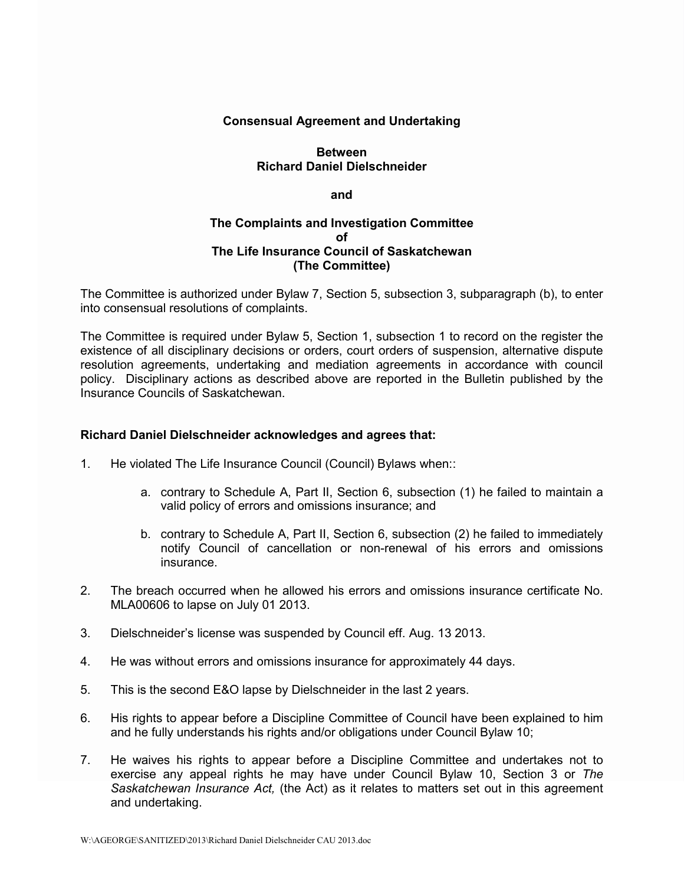## **Consensual Agreement and Undertaking**

## **Between Richard Daniel Dielschneider**

#### **and**

## **The Complaints and Investigation Committee of The Life Insurance Council of Saskatchewan (The Committee)**

The Committee is authorized under Bylaw 7, Section 5, subsection 3, subparagraph (b), to enter into consensual resolutions of complaints.

The Committee is required under Bylaw 5, Section 1, subsection 1 to record on the register the existence of all disciplinary decisions or orders, court orders of suspension, alternative dispute resolution agreements, undertaking and mediation agreements in accordance with council policy. Disciplinary actions as described above are reported in the Bulletin published by the Insurance Councils of Saskatchewan.

### **Richard Daniel Dielschneider acknowledges and agrees that:**

- 1. He violated The Life Insurance Council (Council) Bylaws when::
	- a. contrary to Schedule A, Part II, Section 6, subsection (1) he failed to maintain a valid policy of errors and omissions insurance; and
	- b. contrary to Schedule A, Part II, Section 6, subsection (2) he failed to immediately notify Council of cancellation or non-renewal of his errors and omissions insurance.
- 2. The breach occurred when he allowed his errors and omissions insurance certificate No. MLA00606 to lapse on July 01 2013.
- 3. Dielschneider's license was suspended by Council eff. Aug. 13 2013.
- 4. He was without errors and omissions insurance for approximately 44 days.
- 5. This is the second E&O lapse by Dielschneider in the last 2 years.
- 6. His rights to appear before a Discipline Committee of Council have been explained to him and he fully understands his rights and/or obligations under Council Bylaw 10;
- 7. He waives his rights to appear before a Discipline Committee and undertakes not to exercise any appeal rights he may have under Council Bylaw 10, Section 3 or *The Saskatchewan Insurance Act,* (the Act) as it relates to matters set out in this agreement and undertaking.